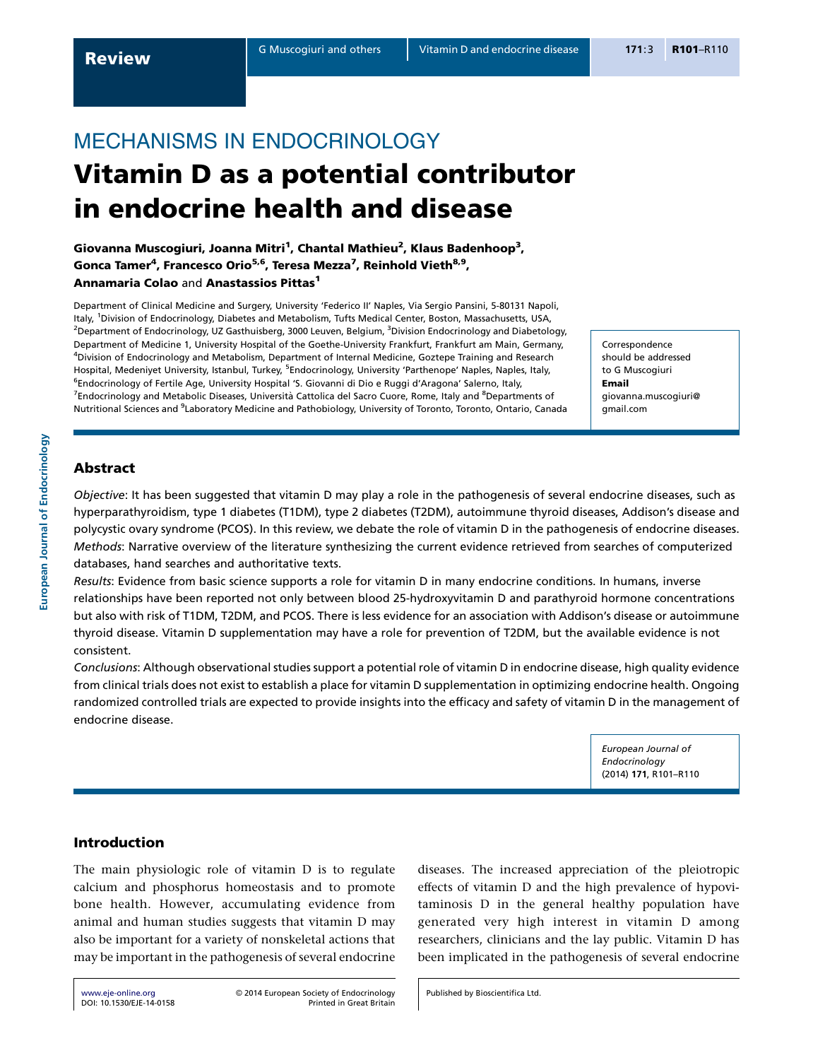# MECHANISMS IN ENDOCRINOLOGY Vitamin D as a potential contributor in endocrine health and disease

Giovanna Muscogiuri, Joanna Mitri<sup>1</sup>, Chantal Mathieu<sup>2</sup>, Klaus Badenhoop<sup>3</sup>, Gonca Tamer<sup>4</sup>, Francesco Orio<sup>5,6</sup>, Teresa Mezza<sup>7</sup>, Reinhold Vieth<sup>8,9</sup>, Annamaria Colao and Anastassios Pittas<sup>1</sup>

Department of Clinical Medicine and Surgery, University 'Federico II' Naples, Via Sergio Pansini, 5-80131 Napoli, Italy, <sup>1</sup>Division of Endocrinology, Diabetes and Metabolism, Tufts Medical Center, Boston, Massachusetts, USA, <sup>2</sup>Department of Endocrinology, UZ Gasthuisberg, 3000 Leuven, Belgium, <sup>3</sup>Division Endocrinology and Diabetology, Department of Medicine 1, University Hospital of the Goethe-University Frankfurt, Frankfurt am Main, Germany, 4 Division of Endocrinology and Metabolism, Department of Internal Medicine, Goztepe Training and Research Hospital, Medeniyet University, Istanbul, Turkey, <sup>5</sup>Endocrinology, University 'Parthenope' Naples, Naples, Italy, <sup>6</sup>Endocrinology of Fertile Age, University Hospital 'S. Giovanni di Dio e Ruggi d'Aragona' Salerno, Italy, <sup>7</sup>Endocrinology and Metabolic Diseases, Università Cattolica del Sacro Cuore, Rome, Italy and <sup>8</sup>Departments of Nutritional Sciences and <sup>9</sup>Laboratory Medicine and Pathobiology, University of Toronto, Toronto, Ontario, Canada

Correspondence should be addressed to G Muscogiuri Email giovanna.muscogiuri@ gmail.com

# Abstract

European Journal of Endocrinology

European Journal of Endocrinology

Objective: It has been suggested that vitamin D may play a role in the pathogenesis of several endocrine diseases, such as hyperparathyroidism, type 1 diabetes (T1DM), type 2 diabetes (T2DM), autoimmune thyroid diseases, Addison's disease and polycystic ovary syndrome (PCOS). In this review, we debate the role of vitamin D in the pathogenesis of endocrine diseases. Methods: Narrative overview of the literature synthesizing the current evidence retrieved from searches of computerized databases, hand searches and authoritative texts.

Results: Evidence from basic science supports a role for vitamin D in many endocrine conditions. In humans, inverse relationships have been reported not only between blood 25-hydroxyvitamin D and parathyroid hormone concentrations but also with risk of T1DM, T2DM, and PCOS. There is less evidence for an association with Addison's disease or autoimmune thyroid disease. Vitamin D supplementation may have a role for prevention of T2DM, but the available evidence is not consistent.

Conclusions: Although observational studies support a potential role of vitamin D in endocrine disease, high quality evidence from clinical trials does not exist to establish a place for vitamin D supplementation in optimizing endocrine health. Ongoing randomized controlled trials are expected to provide insights into the efficacy and safety of vitamin D in the management of endocrine disease.

> European Journal of Endocrinology (2014) 171, R101–R110

# Introduction

The main physiologic role of vitamin D is to regulate calcium and phosphorus homeostasis and to promote bone health. However, accumulating evidence from animal and human studies suggests that vitamin D may also be important for a variety of nonskeletal actions that may be important in the pathogenesis of several endocrine diseases. The increased appreciation of the pleiotropic effects of vitamin D and the high prevalence of hypovitaminosis D in the general healthy population have generated very high interest in vitamin D among researchers, clinicians and the lay public. Vitamin D has been implicated in the pathogenesis of several endocrine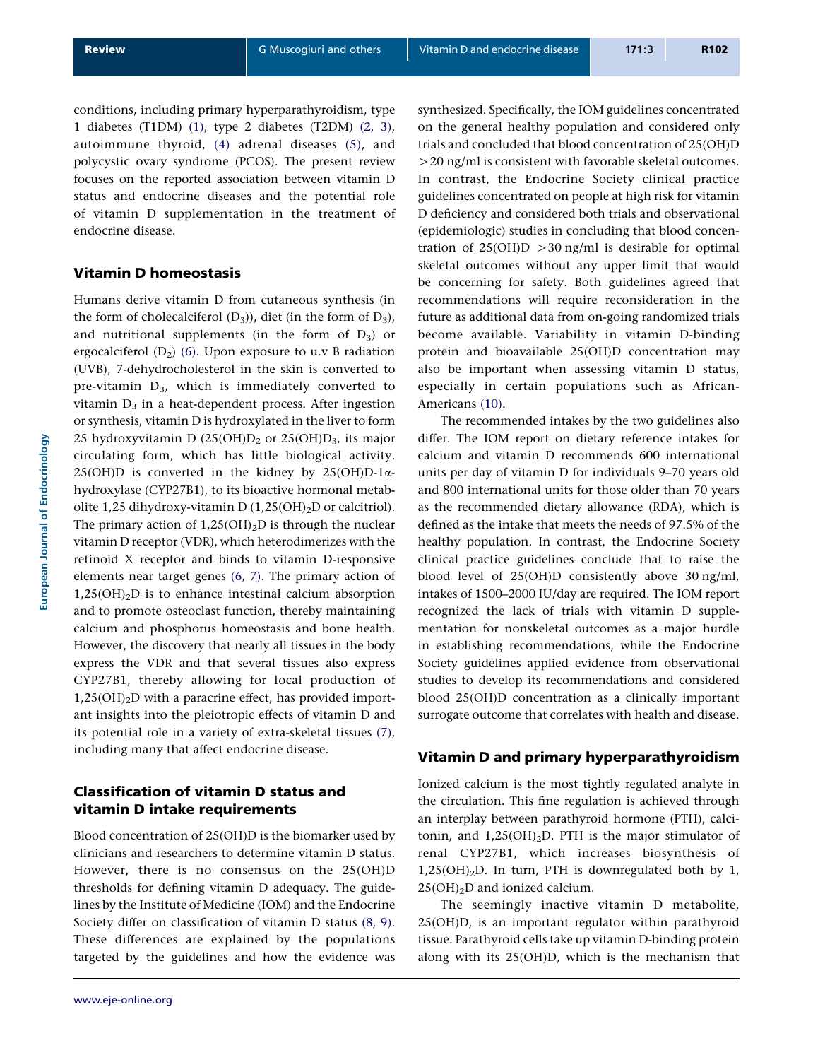conditions, including primary hyperparathyroidism, type 1 diabetes (T1DM) [\(1\),](#page-7-0) type 2 diabetes (T2DM) [\(2, 3\),](#page-7-0) autoimmune thyroid, [\(4\)](#page-7-0) adrenal diseases [\(5\),](#page-7-0) and polycystic ovary syndrome (PCOS). The present review focuses on the reported association between vitamin D status and endocrine diseases and the potential role of vitamin D supplementation in the treatment of endocrine disease.

### Vitamin D homeostasis

Humans derive vitamin D from cutaneous synthesis (in the form of cholecalciferol  $(D_3)$ ), diet (in the form of  $D_3$ ), and nutritional supplements (in the form of  $D_3$ ) or ergocalciferol  $(D_2)$  [\(6\).](#page-7-0) Upon exposure to u.v B radiation (UVB), 7-dehydrocholesterol in the skin is converted to pre-vitamin  $D_3$ , which is immediately converted to vitamin  $D_3$  in a heat-dependent process. After ingestion or synthesis, vitamin D is hydroxylated in the liver to form 25 hydroxyvitamin D  $(25(OH)D<sub>2</sub>$  or  $25(OH)D<sub>3</sub>$ , its major circulating form, which has little biological activity. 25(OH)D is converted in the kidney by  $25(OH)D-1\alpha$ hydroxylase (CYP27B1), to its bioactive hormonal metabolite 1,25 dihydroxy-vitamin D  $(1,25(OH)_2D)$  or calcitriol). The primary action of  $1,25(OH)_2D$  is through the nuclear vitamin D receptor (VDR), which heterodimerizes with the retinoid X receptor and binds to vitamin D-responsive elements near target genes [\(6, 7\).](#page-7-0) The primary action of  $1,25(OH)<sub>2</sub>D$  is to enhance intestinal calcium absorption and to promote osteoclast function, thereby maintaining calcium and phosphorus homeostasis and bone health. However, the discovery that nearly all tissues in the body express the VDR and that several tissues also express CYP27B1, thereby allowing for local production of  $1,25(OH)<sub>2</sub>D$  with a paracrine effect, has provided important insights into the pleiotropic effects of vitamin D and its potential role in a variety of extra-skeletal tissues [\(7\),](#page-7-0) including many that affect endocrine disease.

# Classification of vitamin D status and vitamin D intake requirements

Blood concentration of 25(OH)D is the biomarker used by clinicians and researchers to determine vitamin D status. However, there is no consensus on the 25(OH)D thresholds for defining vitamin D adequacy. The guidelines by the Institute of Medicine (IOM) and the Endocrine Society differ on classification of vitamin D status [\(8, 9\).](#page-7-0) These differences are explained by the populations targeted by the guidelines and how the evidence was synthesized. Specifically, the IOM guidelines concentrated on the general healthy population and considered only trials and concluded that blood concentration of 25(OH)D  $>$  20 ng/ml is consistent with favorable skeletal outcomes. In contrast, the Endocrine Society clinical practice guidelines concentrated on people at high risk for vitamin D deficiency and considered both trials and observational (epidemiologic) studies in concluding that blood concentration of  $25(OH)D > 30$  ng/ml is desirable for optimal skeletal outcomes without any upper limit that would be concerning for safety. Both guidelines agreed that recommendations will require reconsideration in the future as additional data from on-going randomized trials become available. Variability in vitamin D-binding protein and bioavailable 25(OH)D concentration may also be important when assessing vitamin D status, especially in certain populations such as African-Americans [\(10\)](#page-7-0).

The recommended intakes by the two guidelines also differ. The IOM report on dietary reference intakes for calcium and vitamin D recommends 600 international units per day of vitamin D for individuals 9–70 years old and 800 international units for those older than 70 years as the recommended dietary allowance (RDA), which is defined as the intake that meets the needs of 97.5% of the healthy population. In contrast, the Endocrine Society clinical practice guidelines conclude that to raise the blood level of 25(OH)D consistently above 30 ng/ml, intakes of 1500–2000 IU/day are required. The IOM report recognized the lack of trials with vitamin D supplementation for nonskeletal outcomes as a major hurdle in establishing recommendations, while the Endocrine Society guidelines applied evidence from observational studies to develop its recommendations and considered blood 25(OH)D concentration as a clinically important surrogate outcome that correlates with health and disease.

### Vitamin D and primary hyperparathyroidism

Ionized calcium is the most tightly regulated analyte in the circulation. This fine regulation is achieved through an interplay between parathyroid hormone (PTH), calcitonin, and  $1,25(OH)<sub>2</sub>D$ . PTH is the major stimulator of renal CYP27B1, which increases biosynthesis of  $1,25(OH)<sub>2</sub>D$ . In turn, PTH is downregulated both by 1,  $25(OH)<sub>2</sub>D$  and ionized calcium.

The seemingly inactive vitamin D metabolite, 25(OH)D, is an important regulator within parathyroid tissue. Parathyroid cells take up vitamin D-binding protein along with its 25(OH)D, which is the mechanism that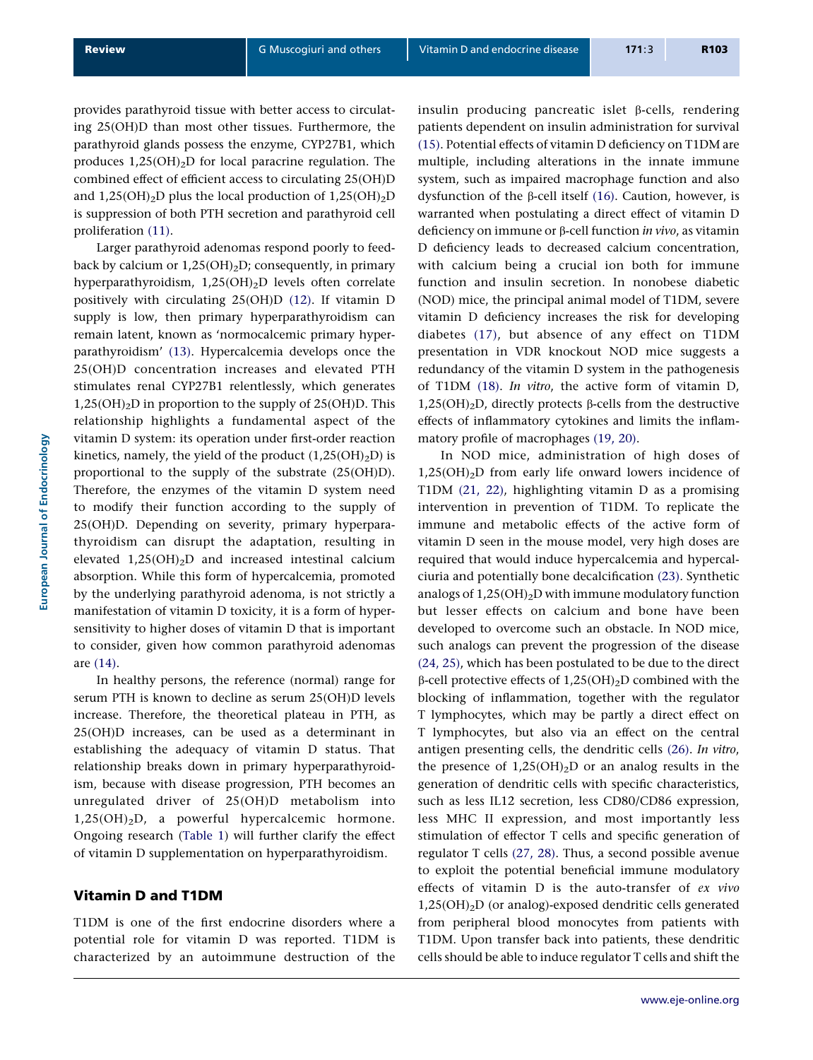provides parathyroid tissue with better access to circulating 25(OH)D than most other tissues. Furthermore, the parathyroid glands possess the enzyme, CYP27B1, which produces  $1,25(OH)<sub>2</sub>D$  for local paracrine regulation. The combined effect of efficient access to circulating 25(OH)D and  $1,25(OH)_2D$  plus the local production of  $1,25(OH)_2D$ is suppression of both PTH secretion and parathyroid cell proliferation [\(11\)](#page-7-0).

Larger parathyroid adenomas respond poorly to feedback by calcium or  $1,25(OH)_2D$ ; consequently, in primary hyperparathyroidism, 1,25(OH)2D levels often correlate positively with circulating 25(OH)D [\(12\)](#page-7-0). If vitamin D supply is low, then primary hyperparathyroidism can remain latent, known as 'normocalcemic primary hyperparathyroidism' [\(13\)](#page-7-0). Hypercalcemia develops once the 25(OH)D concentration increases and elevated PTH stimulates renal CYP27B1 relentlessly, which generates  $1,25(OH)<sub>2</sub>D$  in proportion to the supply of  $25(OH)D$ . This relationship highlights a fundamental aspect of the vitamin D system: its operation under first-order reaction kinetics, namely, the yield of the product  $(1,25(OH)<sub>2</sub>D)$  is proportional to the supply of the substrate (25(OH)D). Therefore, the enzymes of the vitamin D system need to modify their function according to the supply of 25(OH)D. Depending on severity, primary hyperparathyroidism can disrupt the adaptation, resulting in elevated 1,25(OH)2D and increased intestinal calcium absorption. While this form of hypercalcemia, promoted by the underlying parathyroid adenoma, is not strictly a manifestation of vitamin D toxicity, it is a form of hypersensitivity to higher doses of vitamin D that is important to consider, given how common parathyroid adenomas are [\(14\)](#page-7-0).

In healthy persons, the reference (normal) range for serum PTH is known to decline as serum 25(OH)D levels increase. Therefore, the theoretical plateau in PTH, as 25(OH)D increases, can be used as a determinant in establishing the adequacy of vitamin D status. That relationship breaks down in primary hyperparathyroidism, because with disease progression, PTH becomes an unregulated driver of 25(OH)D metabolism into  $1,25(OH)<sub>2</sub>D$ , a powerful hypercalcemic hormone. Ongoing research ([Table 1](#page-3-0)) will further clarify the effect of vitamin D supplementation on hyperparathyroidism.

#### Vitamin D and T1DM

T1DM is one of the first endocrine disorders where a potential role for vitamin D was reported. T1DM is characterized by an autoimmune destruction of the insulin producing pancreatic islet  $\beta$ -cells, rendering patients dependent on insulin administration for survival [\(15\).](#page-7-0) Potential effects of vitamin D deficiency on T1DM are multiple, including alterations in the innate immune system, such as impaired macrophage function and also dysfunction of the b-cell itself [\(16\).](#page-7-0) Caution, however, is warranted when postulating a direct effect of vitamin D deficiency on immune or  $\beta$ -cell function *in vivo*, as vitamin D deficiency leads to decreased calcium concentration, with calcium being a crucial ion both for immune function and insulin secretion. In nonobese diabetic (NOD) mice, the principal animal model of T1DM, severe vitamin D deficiency increases the risk for developing diabetes [\(17\),](#page-7-0) but absence of any effect on T1DM presentation in VDR knockout NOD mice suggests a redundancy of the vitamin D system in the pathogenesis of T1DM [\(18\)](#page-7-0). In vitro, the active form of vitamin D,  $1,25(OH)<sub>2</sub>D$ , directly protects  $\beta$ -cells from the destructive effects of inflammatory cytokines and limits the inflammatory profile of macrophages [\(19, 20\).](#page-7-0)

In NOD mice, administration of high doses of  $1,25(OH)<sub>2</sub>D$  from early life onward lowers incidence of T1DM [\(21, 22\),](#page-7-0) highlighting vitamin D as a promising intervention in prevention of T1DM. To replicate the immune and metabolic effects of the active form of vitamin D seen in the mouse model, very high doses are required that would induce hypercalcemia and hypercalciuria and potentially bone decalcification [\(23\)](#page-7-0). Synthetic analogs of  $1,25(OH)<sub>2</sub>D$  with immune modulatory function but lesser effects on calcium and bone have been developed to overcome such an obstacle. In NOD mice, such analogs can prevent the progression of the disease [\(24, 25\),](#page-7-0) which has been postulated to be due to the direct  $\beta$ -cell protective effects of 1,25(OH)<sub>2</sub>D combined with the blocking of inflammation, together with the regulator T lymphocytes, which may be partly a direct effect on T lymphocytes, but also via an effect on the central antigen presenting cells, the dendritic cells [\(26\).](#page-7-0) In vitro, the presence of  $1,25(OH)<sub>2</sub>D$  or an analog results in the generation of dendritic cells with specific characteristics, such as less IL12 secretion, less CD80/CD86 expression, less MHC II expression, and most importantly less stimulation of effector T cells and specific generation of regulator T cells [\(27, 28\)](#page-7-0). Thus, a second possible avenue to exploit the potential beneficial immune modulatory effects of vitamin D is the auto-transfer of ex vivo 1,25(OH)2D (or analog)-exposed dendritic cells generated from peripheral blood monocytes from patients with T1DM. Upon transfer back into patients, these dendritic cells should be able to induce regulator T cells and shift the

European Journal of Endocrinology

European Journal of Endocrinology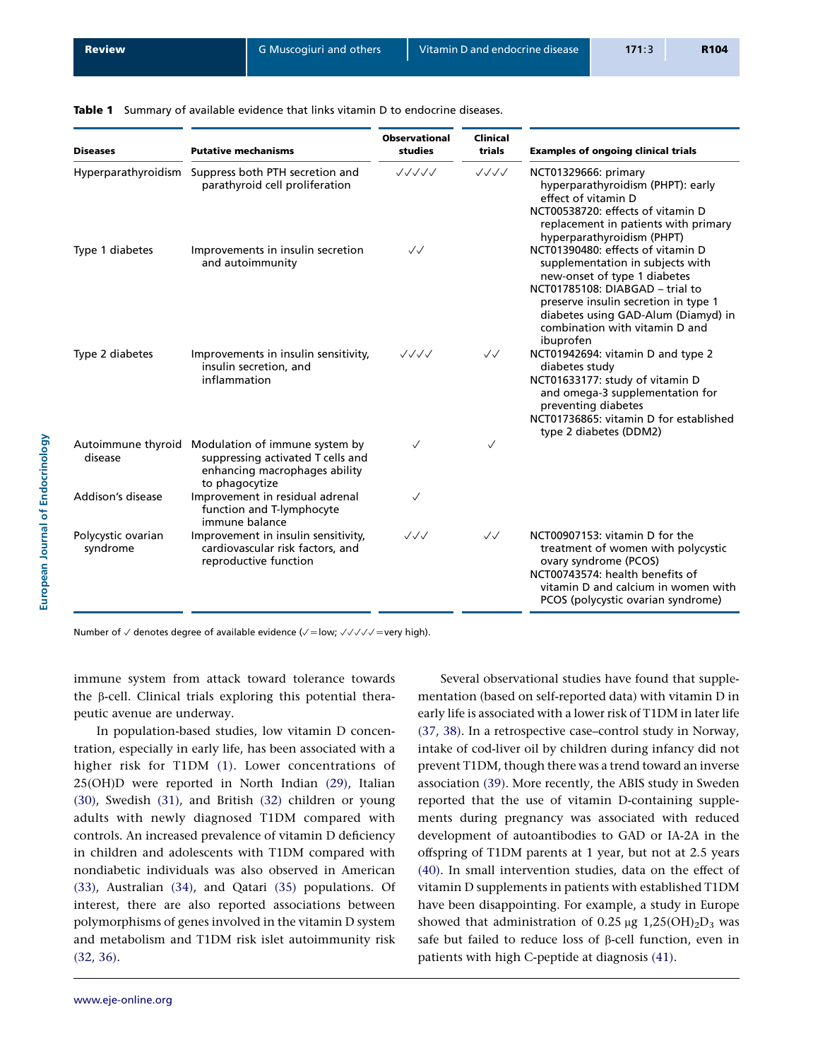<span id="page-3-0"></span>

|  |  |  |  | <b>Table 1</b> Summary of available evidence that links vitamin D to endocrine diseases. |
|--|--|--|--|------------------------------------------------------------------------------------------|
|--|--|--|--|------------------------------------------------------------------------------------------|

| <b>Diseases</b>                | <b>Putative mechanisms</b>                                                                                                                | <b>Observational</b><br>studies  | <b>Clinical</b><br>trials | <b>Examples of ongoing clinical trials</b>                                                                                                                                                                                                                             |
|--------------------------------|-------------------------------------------------------------------------------------------------------------------------------------------|----------------------------------|---------------------------|------------------------------------------------------------------------------------------------------------------------------------------------------------------------------------------------------------------------------------------------------------------------|
|                                | Hyperparathyroidism Suppress both PTH secretion and<br>parathyroid cell proliferation                                                     | ノノノノノ                            | ノノノノ                      | NCT01329666: primary<br>hyperparathyroidism (PHPT): early<br>effect of vitamin D<br>NCT00538720: effects of vitamin D<br>replacement in patients with primary<br>hyperparathyroidism (PHPT)                                                                            |
| Type 1 diabetes                | Improvements in insulin secretion<br>and autoimmunity                                                                                     | $\sqrt{2}$                       |                           | NCT01390480: effects of vitamin D<br>supplementation in subjects with<br>new-onset of type 1 diabetes<br>NCT01785108: DIABGAD - trial to<br>preserve insulin secretion in type 1<br>diabetes using GAD-Alum (Diamyd) in<br>combination with vitamin D and<br>ibuprofen |
| Type 2 diabetes                | Improvements in insulin sensitivity,<br>insulin secretion, and<br>inflammation                                                            | ノノノノ                             | $\sqrt{\sqrt{2}}$         | NCT01942694: vitamin D and type 2<br>diabetes study<br>NCT01633177: study of vitamin D<br>and omega-3 supplementation for<br>preventing diabetes<br>NCT01736865: vitamin D for established<br>type 2 diabetes (DDM2)                                                   |
| disease                        | Autoimmune thyroid Modulation of immune system by<br>suppressing activated T cells and<br>enhancing macrophages ability<br>to phagocytize | $\checkmark$                     | ✓                         |                                                                                                                                                                                                                                                                        |
| Addison's disease              | Improvement in residual adrenal<br>function and T-lymphocyte<br>immune balance                                                            | $\checkmark$                     |                           |                                                                                                                                                                                                                                                                        |
| Polycystic ovarian<br>syndrome | Improvement in insulin sensitivity,<br>cardiovascular risk factors, and<br>reproductive function                                          | $\checkmark\checkmark\checkmark$ | $\sqrt{\sqrt{2}}$         | NCT00907153: vitamin D for the<br>treatment of women with polycystic<br>ovary syndrome (PCOS)<br>NCT00743574: health benefits of<br>vitamin D and calcium in women with<br>PCOS (polycystic ovarian syndrome)                                                          |

Number of  $\vee$  denotes degree of available evidence ( $\vee$ =low;  $\vee$  $\vee$  $\vee$  $\vee$ =very high).

immune system from attack toward tolerance towards the  $\beta$ -cell. Clinical trials exploring this potential therapeutic avenue are underway.

In population-based studies, low vitamin D concentration, especially in early life, has been associated with a higher risk for T1DM [\(1\).](#page-7-0) Lower concentrations of 25(OH)D were reported in North Indian [\(29\),](#page-7-0) Italian [\(30\),](#page-7-0) Swedish [\(31\),](#page-7-0) and British [\(32\)](#page-8-0) children or young adults with newly diagnosed T1DM compared with controls. An increased prevalence of vitamin D deficiency in children and adolescents with T1DM compared with nondiabetic individuals was also observed in American [\(33\),](#page-8-0) Australian [\(34\),](#page-8-0) and Qatari [\(35\)](#page-8-0) populations. Of interest, there are also reported associations between polymorphisms of genes involved in the vitamin D system and metabolism and T1DM risk islet autoimmunity risk [\(32, 36\)](#page-8-0).

Several observational studies have found that supplementation (based on self-reported data) with vitamin D in early life is associated with a lower risk of T1DM in later life [\(37, 38\).](#page-8-0) In a retrospective case–control study in Norway, intake of cod-liver oil by children during infancy did not prevent T1DM, though there was a trend toward an inverse association [\(39\).](#page-8-0) More recently, the ABIS study in Sweden reported that the use of vitamin D-containing supplements during pregnancy was associated with reduced development of autoantibodies to GAD or IA-2A in the offspring of T1DM parents at 1 year, but not at 2.5 years [\(40\).](#page-8-0) In small intervention studies, data on the effect of vitamin D supplements in patients with established T1DM have been disappointing. For example, a study in Europe showed that administration of 0.25  $\mu$ g 1,25(OH)<sub>2</sub>D<sub>3</sub> was safe but failed to reduce loss of  $\beta$ -cell function, even in patients with high C-peptide at diagnosis [\(41\).](#page-8-0)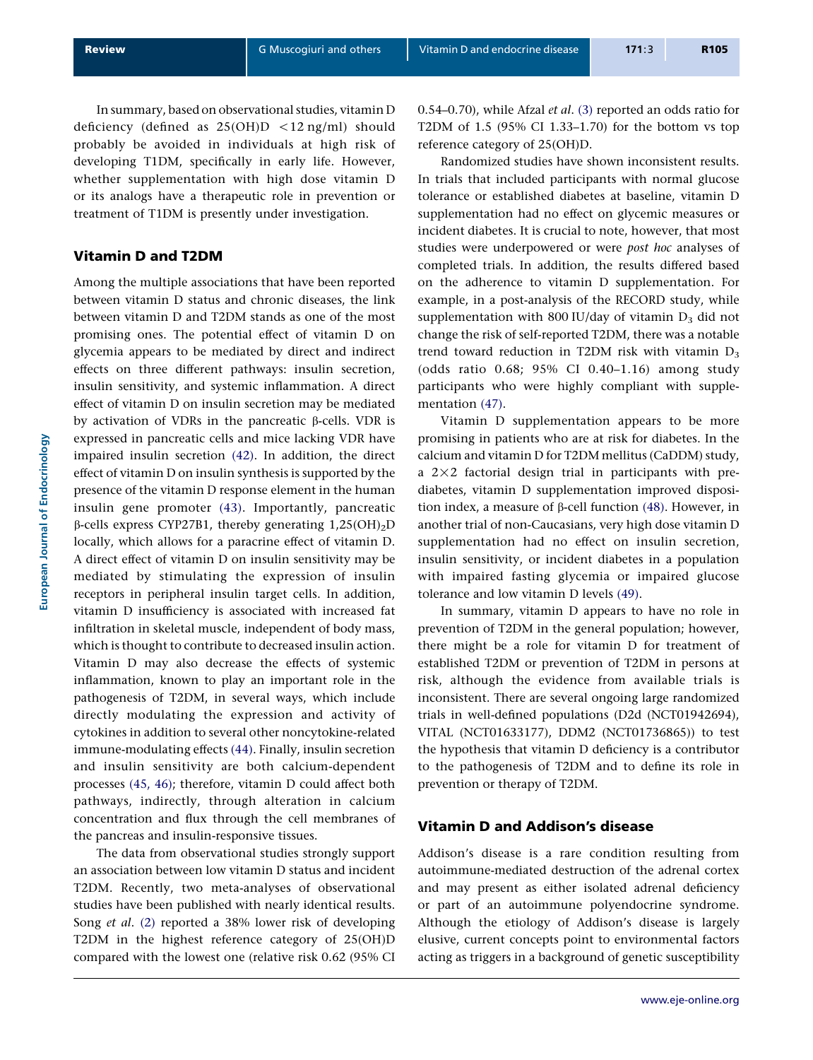In summary, based on observational studies, vitamin D deficiency (defined as  $25(OH)D < 12$  ng/ml) should probably be avoided in individuals at high risk of developing T1DM, specifically in early life. However, whether supplementation with high dose vitamin D or its analogs have a therapeutic role in prevention or treatment of T1DM is presently under investigation.

#### Vitamin D and T2DM

Among the multiple associations that have been reported between vitamin D status and chronic diseases, the link between vitamin D and T2DM stands as one of the most promising ones. The potential effect of vitamin D on glycemia appears to be mediated by direct and indirect effects on three different pathways: insulin secretion, insulin sensitivity, and systemic inflammation. A direct effect of vitamin D on insulin secretion may be mediated by activation of VDRs in the pancreatic  $\beta$ -cells. VDR is expressed in pancreatic cells and mice lacking VDR have impaired insulin secretion [\(42\)](#page-8-0). In addition, the direct effect of vitamin D on insulin synthesis is supported by the presence of the vitamin D response element in the human insulin gene promoter [\(43\).](#page-8-0) Importantly, pancreatic  $\beta$ -cells express CYP27B1, thereby generating 1,25(OH)<sub>2</sub>D locally, which allows for a paracrine effect of vitamin D. A direct effect of vitamin D on insulin sensitivity may be mediated by stimulating the expression of insulin receptors in peripheral insulin target cells. In addition, vitamin D insufficiency is associated with increased fat infiltration in skeletal muscle, independent of body mass, which is thought to contribute to decreased insulin action. Vitamin D may also decrease the effects of systemic inflammation, known to play an important role in the pathogenesis of T2DM, in several ways, which include directly modulating the expression and activity of cytokines in addition to several other noncytokine-related immune-modulating effects [\(44\).](#page-8-0) Finally, insulin secretion and insulin sensitivity are both calcium-dependent processes [\(45, 46\)](#page-8-0); therefore, vitamin D could affect both pathways, indirectly, through alteration in calcium concentration and flux through the cell membranes of the pancreas and insulin-responsive tissues.

The data from observational studies strongly support an association between low vitamin D status and incident T2DM. Recently, two meta-analyses of observational studies have been published with nearly identical results. Song et al. [\(2\)](#page-7-0) reported a 38% lower risk of developing T2DM in the highest reference category of 25(OH)D compared with the lowest one (relative risk 0.62 (95% CI 0.54–0.70), while Afzal et al. [\(3\)](#page-7-0) reported an odds ratio for T2DM of 1.5 (95% CI 1.33–1.70) for the bottom vs top reference category of 25(OH)D.

Randomized studies have shown inconsistent results. In trials that included participants with normal glucose tolerance or established diabetes at baseline, vitamin D supplementation had no effect on glycemic measures or incident diabetes. It is crucial to note, however, that most studies were underpowered or were post hoc analyses of completed trials. In addition, the results differed based on the adherence to vitamin D supplementation. For example, in a post-analysis of the RECORD study, while supplementation with 800 IU/day of vitamin  $D_3$  did not change the risk of self-reported T2DM, there was a notable trend toward reduction in T2DM risk with vitamin  $D_3$ (odds ratio 0.68; 95% CI 0.40–1.16) among study participants who were highly compliant with supplementation [\(47\).](#page-8-0)

Vitamin D supplementation appears to be more promising in patients who are at risk for diabetes. In the calcium and vitamin D for T2DM mellitus (CaDDM) study, a  $2\times2$  factorial design trial in participants with prediabetes, vitamin D supplementation improved disposition index, a measure of  $\beta$ -cell function [\(48\)](#page-8-0). However, in another trial of non-Caucasians, very high dose vitamin D supplementation had no effect on insulin secretion, insulin sensitivity, or incident diabetes in a population with impaired fasting glycemia or impaired glucose tolerance and low vitamin D levels [\(49\).](#page-8-0)

In summary, vitamin D appears to have no role in prevention of T2DM in the general population; however, there might be a role for vitamin D for treatment of established T2DM or prevention of T2DM in persons at risk, although the evidence from available trials is inconsistent. There are several ongoing large randomized trials in well-defined populations (D2d (NCT01942694), VITAL (NCT01633177), DDM2 (NCT01736865)) to test the hypothesis that vitamin D deficiency is a contributor to the pathogenesis of T2DM and to define its role in prevention or therapy of T2DM.

#### Vitamin D and Addison's disease

Addison's disease is a rare condition resulting from autoimmune-mediated destruction of the adrenal cortex and may present as either isolated adrenal deficiency or part of an autoimmune polyendocrine syndrome. Although the etiology of Addison's disease is largely elusive, current concepts point to environmental factors acting as triggers in a background of genetic susceptibility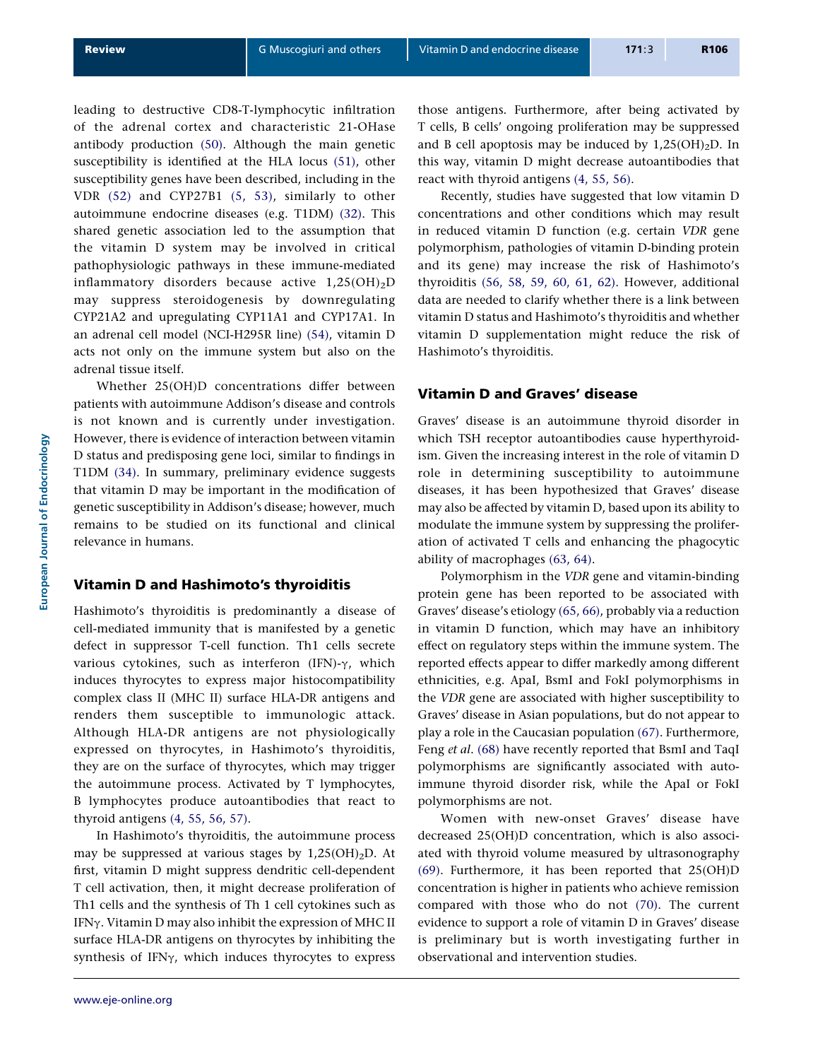leading to destructive CD8-T-lymphocytic infiltration of the adrenal cortex and characteristic 21-OHase antibody production [\(50\).](#page-8-0) Although the main genetic susceptibility is identified at the HLA locus [\(51\),](#page-8-0) other susceptibility genes have been described, including in the VDR [\(52\)](#page-8-0) and CYP27B1 [\(5, 53\),](#page-7-0) similarly to other autoimmune endocrine diseases (e.g. T1DM) [\(32\)](#page-8-0). This shared genetic association led to the assumption that the vitamin D system may be involved in critical pathophysiologic pathways in these immune-mediated inflammatory disorders because active  $1,25(OH)_2D$ may suppress steroidogenesis by downregulating CYP21A2 and upregulating CYP11A1 and CYP17A1. In an adrenal cell model (NCI-H295R line) [\(54\),](#page-8-0) vitamin D acts not only on the immune system but also on the adrenal tissue itself.

Whether 25(OH)D concentrations differ between patients with autoimmune Addison's disease and controls is not known and is currently under investigation. However, there is evidence of interaction between vitamin D status and predisposing gene loci, similar to findings in T1DM [\(34\)](#page-8-0). In summary, preliminary evidence suggests that vitamin D may be important in the modification of genetic susceptibility in Addison's disease; however, much remains to be studied on its functional and clinical relevance in humans.

#### Vitamin D and Hashimoto's thyroiditis

Hashimoto's thyroiditis is predominantly a disease of cell-mediated immunity that is manifested by a genetic defect in suppressor T-cell function. Th1 cells secrete various cytokines, such as interferon (IFN)- $\gamma$ , which induces thyrocytes to express major histocompatibility complex class II (MHC II) surface HLA-DR antigens and renders them susceptible to immunologic attack. Although HLA-DR antigens are not physiologically expressed on thyrocytes, in Hashimoto's thyroiditis, they are on the surface of thyrocytes, which may trigger the autoimmune process. Activated by T lymphocytes, B lymphocytes produce autoantibodies that react to thyroid antigens [\(4, 55, 56, 57\).](#page-7-0)

In Hashimoto's thyroiditis, the autoimmune process may be suppressed at various stages by  $1,25(OH)_2D$ . At first, vitamin D might suppress dendritic cell-dependent T cell activation, then, it might decrease proliferation of Th1 cells and the synthesis of Th 1 cell cytokines such as IFNg. Vitamin D may also inhibit the expression of MHC II surface HLA-DR antigens on thyrocytes by inhibiting the synthesis of IFN $\gamma$ , which induces thyrocytes to express those antigens. Furthermore, after being activated by T cells, B cells' ongoing proliferation may be suppressed and B cell apoptosis may be induced by  $1,25(OH)<sub>2</sub>D$ . In this way, vitamin D might decrease autoantibodies that react with thyroid antigens [\(4, 55, 56\).](#page-7-0)

Recently, studies have suggested that low vitamin D concentrations and other conditions which may result in reduced vitamin D function (e.g. certain VDR gene polymorphism, pathologies of vitamin D-binding protein and its gene) may increase the risk of Hashimoto's thyroiditis [\(56, 58, 59, 60, 61, 62\)](#page-8-0). However, additional data are needed to clarify whether there is a link between vitamin D status and Hashimoto's thyroiditis and whether vitamin D supplementation might reduce the risk of Hashimoto's thyroiditis.

#### Vitamin D and Graves' disease

Graves' disease is an autoimmune thyroid disorder in which TSH receptor autoantibodies cause hyperthyroidism. Given the increasing interest in the role of vitamin D role in determining susceptibility to autoimmune diseases, it has been hypothesized that Graves' disease may also be affected by vitamin D, based upon its ability to modulate the immune system by suppressing the proliferation of activated T cells and enhancing the phagocytic ability of macrophages [\(63, 64\).](#page-8-0)

Polymorphism in the VDR gene and vitamin-binding protein gene has been reported to be associated with Graves' disease's etiology [\(65, 66\),](#page-8-0) probably via a reduction in vitamin D function, which may have an inhibitory effect on regulatory steps within the immune system. The reported effects appear to differ markedly among different ethnicities, e.g. ApaI, BsmI and FokI polymorphisms in the VDR gene are associated with higher susceptibility to Graves' disease in Asian populations, but do not appear to play a role in the Caucasian population [\(67\)](#page-9-0). Furthermore, Feng et al. [\(68\)](#page-9-0) have recently reported that BsmI and TaqI polymorphisms are significantly associated with autoimmune thyroid disorder risk, while the ApaI or FokI polymorphisms are not.

Women with new-onset Graves' disease have decreased 25(OH)D concentration, which is also associated with thyroid volume measured by ultrasonography [\(69\).](#page-9-0) Furthermore, it has been reported that 25(OH)D concentration is higher in patients who achieve remission compared with those who do not [\(70\)](#page-9-0). The current evidence to support a role of vitamin D in Graves' disease is preliminary but is worth investigating further in observational and intervention studies.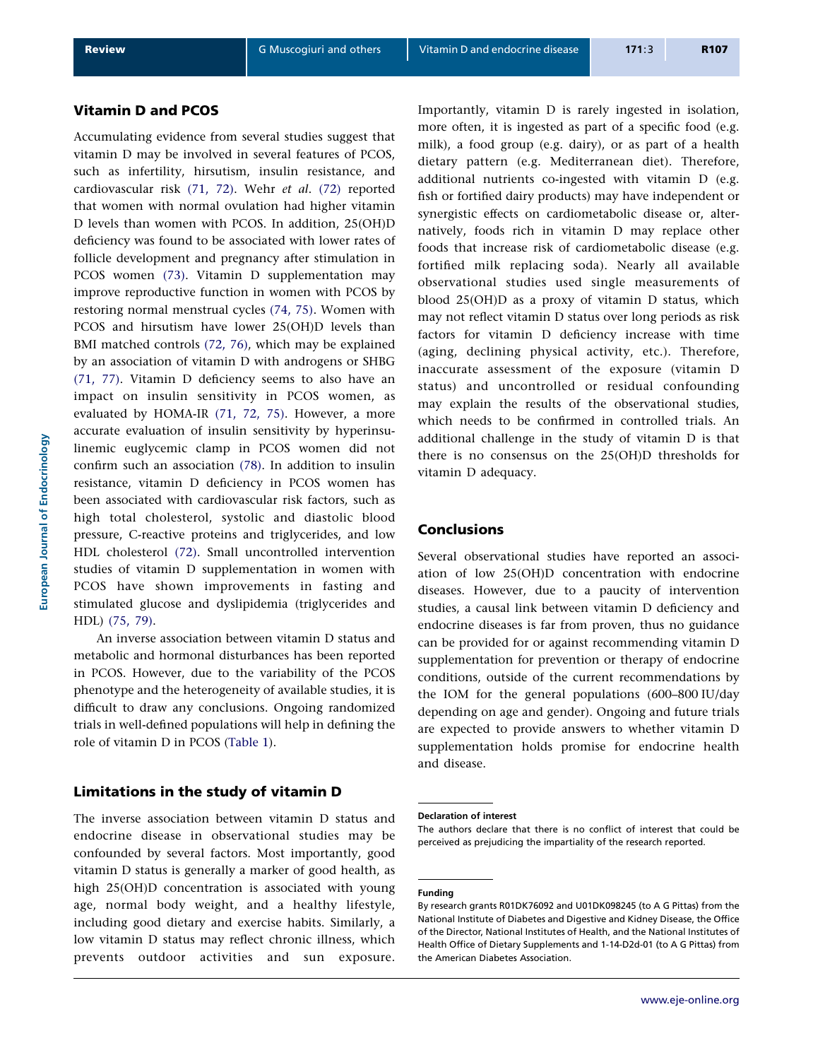# Vitamin D and PCOS

Accumulating evidence from several studies suggest that vitamin D may be involved in several features of PCOS, such as infertility, hirsutism, insulin resistance, and cardiovascular risk [\(71, 72\)](#page-9-0). Wehr et al. [\(72\)](#page-9-0) reported that women with normal ovulation had higher vitamin D levels than women with PCOS. In addition, 25(OH)D deficiency was found to be associated with lower rates of follicle development and pregnancy after stimulation in PCOS women [\(73\).](#page-9-0) Vitamin D supplementation may improve reproductive function in women with PCOS by restoring normal menstrual cycles [\(74, 75\).](#page-9-0) Women with PCOS and hirsutism have lower 25(OH)D levels than BMI matched controls [\(72, 76\),](#page-9-0) which may be explained by an association of vitamin D with androgens or SHBG [\(71, 77\).](#page-9-0) Vitamin D deficiency seems to also have an impact on insulin sensitivity in PCOS women, as evaluated by HOMA-IR [\(71, 72, 75\)](#page-9-0). However, a more accurate evaluation of insulin sensitivity by hyperinsulinemic euglycemic clamp in PCOS women did not confirm such an association [\(78\)](#page-9-0). In addition to insulin resistance, vitamin D deficiency in PCOS women has been associated with cardiovascular risk factors, such as high total cholesterol, systolic and diastolic blood pressure, C-reactive proteins and triglycerides, and low HDL cholesterol [\(72\).](#page-9-0) Small uncontrolled intervention studies of vitamin D supplementation in women with PCOS have shown improvements in fasting and stimulated glucose and dyslipidemia (triglycerides and HDL) [\(75, 79\)](#page-9-0).

An inverse association between vitamin D status and metabolic and hormonal disturbances has been reported in PCOS. However, due to the variability of the PCOS phenotype and the heterogeneity of available studies, it is difficult to draw any conclusions. Ongoing randomized trials in well-defined populations will help in defining the role of vitamin D in PCOS [\(Table 1\)](#page-3-0).

## Limitations in the study of vitamin D

The inverse association between vitamin D status and endocrine disease in observational studies may be confounded by several factors. Most importantly, good vitamin D status is generally a marker of good health, as high 25(OH)D concentration is associated with young age, normal body weight, and a healthy lifestyle, including good dietary and exercise habits. Similarly, a low vitamin D status may reflect chronic illness, which prevents outdoor activities and sun exposure. Importantly, vitamin D is rarely ingested in isolation, more often, it is ingested as part of a specific food (e.g. milk), a food group (e.g. dairy), or as part of a health dietary pattern (e.g. Mediterranean diet). Therefore, additional nutrients co-ingested with vitamin D (e.g. fish or fortified dairy products) may have independent or synergistic effects on cardiometabolic disease or, alternatively, foods rich in vitamin D may replace other foods that increase risk of cardiometabolic disease (e.g. fortified milk replacing soda). Nearly all available observational studies used single measurements of blood 25(OH)D as a proxy of vitamin D status, which may not reflect vitamin D status over long periods as risk factors for vitamin D deficiency increase with time (aging, declining physical activity, etc.). Therefore, inaccurate assessment of the exposure (vitamin D status) and uncontrolled or residual confounding may explain the results of the observational studies, which needs to be confirmed in controlled trials. An additional challenge in the study of vitamin D is that there is no consensus on the 25(OH)D thresholds for vitamin D adequacy.

#### Conclusions

Several observational studies have reported an association of low 25(OH)D concentration with endocrine diseases. However, due to a paucity of intervention studies, a causal link between vitamin D deficiency and endocrine diseases is far from proven, thus no guidance can be provided for or against recommending vitamin D supplementation for prevention or therapy of endocrine conditions, outside of the current recommendations by the IOM for the general populations (600–800 IU/day depending on age and gender). Ongoing and future trials are expected to provide answers to whether vitamin D supplementation holds promise for endocrine health and disease.

#### Declaration of interest

The authors declare that there is no conflict of interest that could be perceived as prejudicing the impartiality of the research reported.

#### Funding

By research grants R01DK76092 and U01DK098245 (to A G Pittas) from the National Institute of Diabetes and Digestive and Kidney Disease, the Office of the Director, National Institutes of Health, and the National Institutes of Health Office of Dietary Supplements and 1-14-D2d-01 (to A G Pittas) from the American Diabetes Association.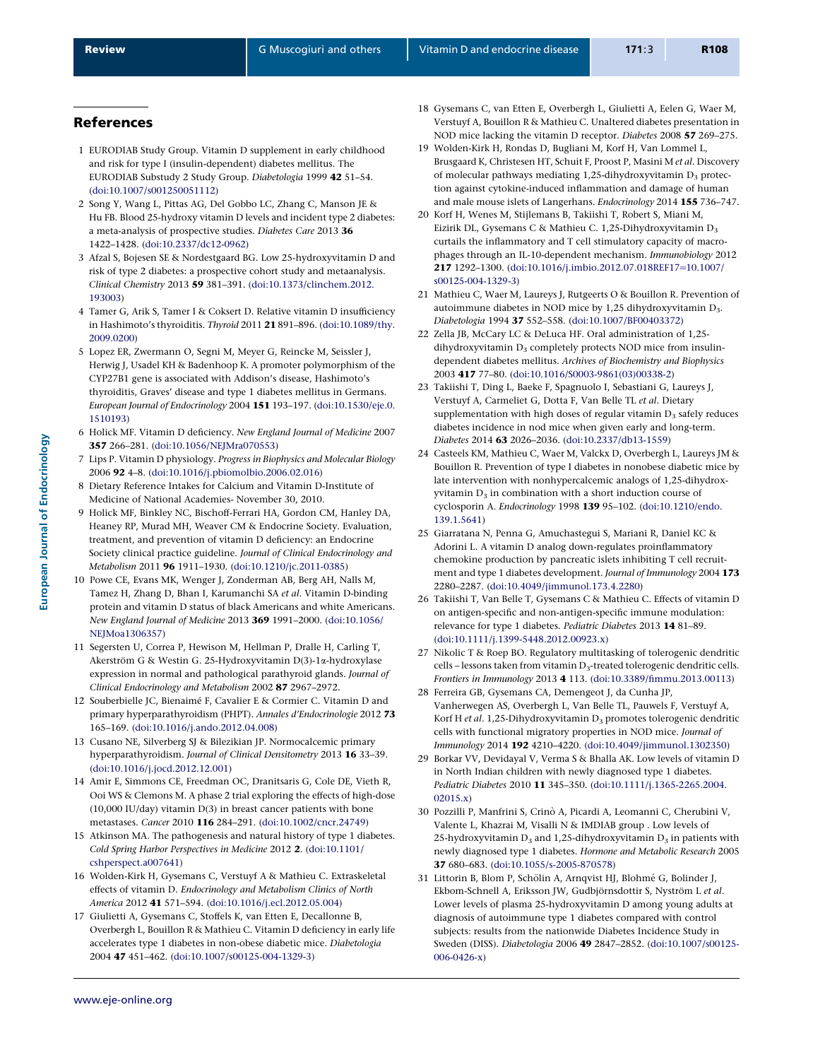#### <span id="page-7-0"></span>References

- 1 EURODIAB Study Group. Vitamin D supplement in early childhood and risk for type I (insulin-dependent) diabetes mellitus. The EURODIAB Substudy 2 Study Group. Diabetologia 1999 42 51–54. [\(doi:10.1007/s001250051112](http://dx.doi.org/10.1007/s001250051112))
- 2 Song Y, Wang L, Pittas AG, Del Gobbo LC, Zhang C, Manson JE & Hu FB. Blood 25-hydroxy vitamin D levels and incident type 2 diabetes: a meta-analysis of prospective studies. Diabetes Care 2013 36 1422–1428. ([doi:10.2337/dc12-0962](http://dx.doi.org/10.2337/dc12-0962))
- 3 Afzal S, Bojesen SE & Nordestgaard BG. Low 25-hydroxyvitamin D and risk of type 2 diabetes: a prospective cohort study and metaanalysis. Clinical Chemistry 2013 59 381–391. ([doi:10.1373/clinchem.2012.](http://dx.doi.org/10.1373/clinchem.2012.193003) [193003\)](http://dx.doi.org/10.1373/clinchem.2012.193003)
- 4 Tamer G, Arik S, Tamer I & Coksert D. Relative vitamin D insufficiency in Hashimoto's thyroiditis. Thyroid 2011 21 891–896. ([doi:10.1089/thy.](http://dx.doi.org/10.1089/thy.2009.0200) [2009.0200\)](http://dx.doi.org/10.1089/thy.2009.0200)
- 5 Lopez ER, Zwermann O, Segni M, Meyer G, Reincke M, Seissler J, Herwig J, Usadel KH & Badenhoop K. A promoter polymorphism of the CYP27B1 gene is associated with Addison's disease, Hashimoto's thyroiditis, Graves' disease and type 1 diabetes mellitus in Germans. European Journal of Endocrinology 2004 151 193–197. ([doi:10.1530/eje.0.](http://dx.doi.org/10.1530/eje.0.1510193) [1510193\)](http://dx.doi.org/10.1530/eje.0.1510193)
- 6 Holick MF. Vitamin D deficiency. New England Journal of Medicine 2007 357 266–281. [\(doi:10.1056/NEJMra070553](http://dx.doi.org/10.1056/NEJMra070553))
- 7 Lips P. Vitamin D physiology. Progress in Biophysics and Molecular Biology 2006 92 4–8. ([doi:10.1016/j.pbiomolbio.2006.02.016](http://dx.doi.org/10.1016/j.pbiomolbio.2006.02.016))
- 8 Dietary Reference Intakes for Calcium and Vitamin D-Institute of Medicine of National Academies- November 30, 2010.
- 9 Holick MF, Binkley NC, Bischoff-Ferrari HA, Gordon CM, Hanley DA, Heaney RP, Murad MH, Weaver CM & Endocrine Society. Evaluation, treatment, and prevention of vitamin D deficiency: an Endocrine Society clinical practice guideline. Journal of Clinical Endocrinology and Metabolism 2011 96 1911–1930. [\(doi:10.1210/jc.2011-0385\)](http://dx.doi.org/10.1210/jc.2011-0385)
- 10 Powe CE, Evans MK, Wenger J, Zonderman AB, Berg AH, Nalls M, Tamez H, Zhang D, Bhan I, Karumanchi SA et al. Vitamin D-binding protein and vitamin D status of black Americans and white Americans. New England Journal of Medicine 2013 369 1991–2000. [\(doi:10.1056/](http://dx.doi.org/10.1056/NEJMoa1306357) [NEJMoa1306357\)](http://dx.doi.org/10.1056/NEJMoa1306357)
- 11 Segersten U, Correa P, Hewison M, Hellman P, Dralle H, Carling T, Akerström G & Westin G. 25-Hydroxyvitamin D(3)-1a-hydroxylase expression in normal and pathological parathyroid glands. Journal of Clinical Endocrinology and Metabolism 2002 87 2967–2972.
- 12 Souberbielle JC, Bienaimé F, Cavalier E & Cormier C. Vitamin D and primary hyperparathyroidism (PHPT). Annales d'Endocrinologie 2012 73 165–169. [\(doi:10.1016/j.ando.2012.04.008\)](http://dx.doi.org/10.1016/j.ando.2012.04.008)
- 13 Cusano NE, Silverberg SJ & Bilezikian JP. Normocalcemic primary hyperparathyroidism. Journal of Clinical Densitometry 2013 16 33–39. ([doi:10.1016/j.jocd.2012.12.001](http://dx.doi.org/10.1016/j.jocd.2012.12.001))
- 14 Amir E, Simmons CE, Freedman OC, Dranitsaris G, Cole DE, Vieth R, Ooi WS & Clemons M. A phase 2 trial exploring the effects of high-dose (10,000 IU/day) vitamin D(3) in breast cancer patients with bone metastases. Cancer 2010 116 284–291. [\(doi:10.1002/cncr.24749\)](http://dx.doi.org/10.1002/cncr.24749)
- 15 Atkinson MA. The pathogenesis and natural history of type 1 diabetes. Cold Spring Harbor Perspectives in Medicine 2012 2. [\(doi:10.1101/](http://dx.doi.org/10.1101/cshperspect.a007641) [cshperspect.a007641\)](http://dx.doi.org/10.1101/cshperspect.a007641)
- 16 Wolden-Kirk H, Gysemans C, Verstuyf A & Mathieu C. Extraskeletal effects of vitamin D. Endocrinology and Metabolism Clinics of North America 2012 41 571–594. [\(doi:10.1016/j.ecl.2012.05.004](http://dx.doi.org/10.1016/j.ecl.2012.05.004))
- 17 Giulietti A, Gysemans C, Stoffels K, van Etten E, Decallonne B, Overbergh L, Bouillon R & Mathieu C. Vitamin D deficiency in early life accelerates type 1 diabetes in non-obese diabetic mice. Diabetologia 2004 47 451–462. [\(doi:10.1007/s00125-004-1329-3](http://dx.doi.org/10.1007/s00125-004-1329-3))
- 18 Gysemans C, van Etten E, Overbergh L, Giulietti A, Eelen G, Waer M, Verstuyf A, Bouillon R & Mathieu C. Unaltered diabetes presentation in NOD mice lacking the vitamin D receptor. Diabetes 2008 57 269–275.
- 19 Wolden-Kirk H, Rondas D, Bugliani M, Korf H, Van Lommel L, Brusgaard K, Christesen HT, Schuit F, Proost P, Masini M et al. Discovery of molecular pathways mediating 1,25-dihydroxyvitamin  $D_3$  protection against cytokine-induced inflammation and damage of human and male mouse islets of Langerhans. Endocrinology 2014 155 736–747.
- 20 Korf H, Wenes M, Stijlemans B, Takiishi T, Robert S, Miani M, Eizirik DL, Gysemans C & Mathieu C. 1,25-Dihydroxyvitamin D3 curtails the inflammatory and T cell stimulatory capacity of macrophages through an IL-10-dependent mechanism. Immunobiology 2012 217 1292-1300. ([doi:10.1016/j.imbio.2012.07.018REF17](http://dx.doi.org/10.1016/j.imbio.2012.07.018REF17=10.1007/s00125-004-1329-3)=10.1007/ [s00125-004-1329-3](http://dx.doi.org/10.1016/j.imbio.2012.07.018REF17=10.1007/s00125-004-1329-3))
- 21 Mathieu C, Waer M, Laureys J, Rutgeerts O & Bouillon R. Prevention of autoimmune diabetes in NOD mice by 1,25 dihydroxyvitamin D3. Diabetologia 1994 37 552–558. ([doi:10.1007/BF00403372\)](http://dx.doi.org/10.1007/BF00403372)
- 22 Zella JB, McCary LC & DeLuca HF. Oral administration of 1,25 dihydroxyvitamin  $D_3$  completely protects NOD mice from insulindependent diabetes mellitus. Archives of Biochemistry and Biophysics 2003 417 77–80. ([doi:10.1016/S0003-9861\(03\)00338-2](http://dx.doi.org/10.1016/S0003-9861(03)00338-2))
- 23 Takiishi T, Ding L, Baeke F, Spagnuolo I, Sebastiani G, Laureys J, Verstuyf A, Carmeliet G, Dotta F, Van Belle TL et al. Dietary supplementation with high doses of regular vitamin  $D_3$  safely reduces diabetes incidence in nod mice when given early and long-term. Diabetes 2014 63 2026–2036. [\(doi:10.2337/db13-1559](http://dx.doi.org/10.2337/db13-1559))
- 24 Casteels KM, Mathieu C, Waer M, Valckx D, Overbergh L, Laureys JM & Bouillon R. Prevention of type I diabetes in nonobese diabetic mice by late intervention with nonhypercalcemic analogs of 1,25-dihydrox $vvitamin$  D<sub>2</sub> in combination with a short induction course of cyclosporin A. Endocrinology 1998 139 95–102. ([doi:10.1210/endo.](http://dx.doi.org/10.1210/endo.139.1.5641) [139.1.5641](http://dx.doi.org/10.1210/endo.139.1.5641))
- 25 Giarratana N, Penna G, Amuchastegui S, Mariani R, Daniel KC & Adorini L. A vitamin D analog down-regulates proinflammatory chemokine production by pancreatic islets inhibiting T cell recruitment and type 1 diabetes development. Journal of Immunology 2004 173 2280–2287. [\(doi:10.4049/jimmunol.173.4.2280\)](http://dx.doi.org/10.4049/jimmunol.173.4.2280)
- 26 Takiishi T, Van Belle T, Gysemans C & Mathieu C. Effects of vitamin D on antigen-specific and non-antigen-specific immune modulation: relevance for type 1 diabetes. Pediatric Diabetes 2013 14 81–89. ([doi:10.1111/j.1399-5448.2012.00923.x\)](http://dx.doi.org/10.1111/j.1399-5448.2012.00923.x)
- 27 Nikolic T & Roep BO. Regulatory multitasking of tolerogenic dendritic cells – lessons taken from vitamin D<sub>3</sub>-treated tolerogenic dendritic cells. Frontiers in Immunology 2013 4 113. ([doi:10.3389/fimmu.2013.00113](http://dx.doi.org/10.3389/fimmu.2013.00113))
- 28 Ferreira GB, Gysemans CA, Demengeot J, da Cunha JP, Vanherwegen AS, Overbergh L, Van Belle TL, Pauwels F, Verstuyf A, Korf H et al. 1,25-Dihydroxyvitamin  $D_3$  promotes tolerogenic dendritic cells with functional migratory properties in NOD mice. Journal of Immunology 2014 192 4210–4220. [\(doi:10.4049/jimmunol.1302350\)](http://dx.doi.org/10.4049/jimmunol.1302350)
- 29 Borkar VV, Devidayal V, Verma S & Bhalla AK. Low levels of vitamin D in North Indian children with newly diagnosed type 1 diabetes. Pediatric Diabetes 2010 11 345–350. ([doi:10.1111/j.1365-2265.2004.](http://dx.doi.org/10.1111/j.1365-2265.2004.02015.x) [02015.x](http://dx.doi.org/10.1111/j.1365-2265.2004.02015.x))
- 30 Pozzilli P, Manfrini S, Crino` A, Picardi A, Leomanni C, Cherubini V, Valente L, Khazrai M, Visalli N & IMDIAB group . Low levels of 25-hydroxyvitamin  $D_3$  and 1,25-dihydroxyvitamin  $D_3$  in patients with newly diagnosed type 1 diabetes. Hormone and Metabolic Research 2005 37 680–683. [\(doi:10.1055/s-2005-870578\)](http://dx.doi.org/10.1055/s-2005-870578)
- 31 Littorin B, Blom P, Schölin A, Arnqvist HJ, Blohmé G, Bolinder J, Ekbom-Schnell A, Eriksson JW, Gudbjörnsdottir S, Nyström L et al. Lower levels of plasma 25-hydroxyvitamin D among young adults at diagnosis of autoimmune type 1 diabetes compared with control subjects: results from the nationwide Diabetes Incidence Study in Sweden (DISS). Diabetologia 2006 49 2847–2852. ([doi:10.1007/s00125-](http://dx.doi.org/10.1007/s00125-006-0426-x) [006-0426-x\)](http://dx.doi.org/10.1007/s00125-006-0426-x)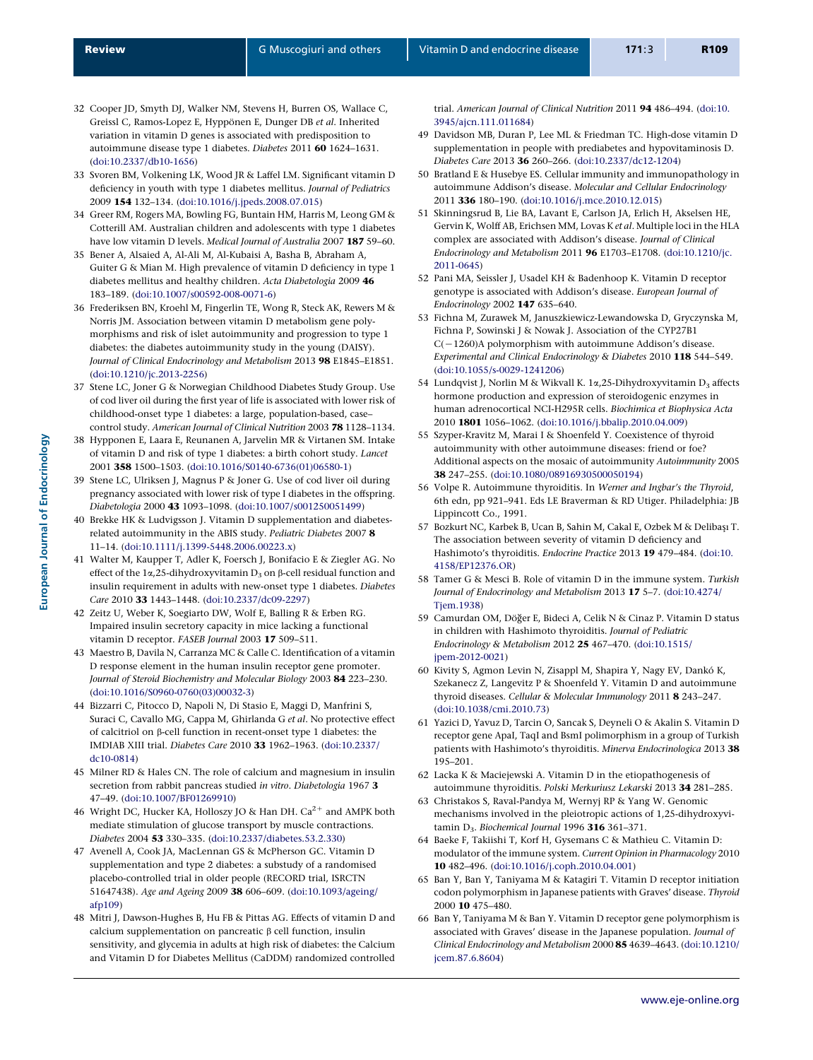- <span id="page-8-0"></span>32 Cooper JD, Smyth DJ, Walker NM, Stevens H, Burren OS, Wallace C, Greissl C, Ramos-Lopez E, Hyppönen E, Dunger DB et al. Inherited variation in vitamin D genes is associated with predisposition to autoimmune disease type 1 diabetes. Diabetes 2011 60 1624–1631. ([doi:10.2337/db10-1656\)](http://dx.doi.org/10.2337/db10-1656)
- 33 Svoren BM, Volkening LK, Wood JR & Laffel LM. Significant vitamin D deficiency in youth with type 1 diabetes mellitus. Journal of Pediatrics 2009 154 132–134. ([doi:10.1016/j.jpeds.2008.07.015](http://dx.doi.org/10.1016/j.jpeds.2008.07.015))
- 34 Greer RM, Rogers MA, Bowling FG, Buntain HM, Harris M, Leong GM & Cotterill AM. Australian children and adolescents with type 1 diabetes have low vitamin D levels. Medical Journal of Australia 2007 187 59-60.
- 35 Bener A, Alsaied A, Al-Ali M, Al-Kubaisi A, Basha B, Abraham A, Guiter G & Mian M. High prevalence of vitamin D deficiency in type 1 diabetes mellitus and healthy children. Acta Diabetologia 2009 46 183–189. [\(doi:10.1007/s00592-008-0071-6\)](http://dx.doi.org/10.1007/s00592-008-0071-6)
- 36 Frederiksen BN, Kroehl M, Fingerlin TE, Wong R, Steck AK, Rewers M & Norris JM. Association between vitamin D metabolism gene polymorphisms and risk of islet autoimmunity and progression to type 1 diabetes: the diabetes autoimmunity study in the young (DAISY). Journal of Clinical Endocrinology and Metabolism 2013 98 E1845-E1851. ([doi:10.1210/jc.2013-2256](http://dx.doi.org/10.1210/jc.2013-2256))
- 37 Stene LC, Joner G & Norwegian Childhood Diabetes Study Group. Use of cod liver oil during the first year of life is associated with lower risk of childhood-onset type 1 diabetes: a large, population-based, case– control study. American Journal of Clinical Nutrition 2003 78 1128–1134.
- 38 Hypponen E, Laara E, Reunanen A, Jarvelin MR & Virtanen SM. Intake of vitamin D and risk of type 1 diabetes: a birth cohort study. Lancet 2001 358 1500–1503. ([doi:10.1016/S0140-6736\(01\)06580-1](http://dx.doi.org/10.1016/S0140-6736(01)06580-1))
- 39 Stene LC, Ulriksen J, Magnus P & Joner G. Use of cod liver oil during pregnancy associated with lower risk of type I diabetes in the offspring. Diabetologia 2000 43 1093–1098. ([doi:10.1007/s001250051499\)](http://dx.doi.org/10.1007/s001250051499)
- 40 Brekke HK & Ludvigsson J. Vitamin D supplementation and diabetesrelated autoimmunity in the ABIS study. Pediatric Diabetes 2007 8 11–14. [\(doi:10.1111/j.1399-5448.2006.00223.x](http://dx.doi.org/10.1111/j.1399-5448.2006.00223.x))
- 41 Walter M, Kaupper T, Adler K, Foersch J, Bonifacio E & Ziegler AG. No effect of the  $1\alpha$ , 25-dihydroxyvitamin  $D_3$  on  $\beta$ -cell residual function and insulin requirement in adults with new-onset type 1 diabetes. Diabetes Care 2010 33 1443–1448. ([doi:10.2337/dc09-2297\)](http://dx.doi.org/10.2337/dc09-2297)
- 42 Zeitz U, Weber K, Soegiarto DW, Wolf E, Balling R & Erben RG. Impaired insulin secretory capacity in mice lacking a functional vitamin D receptor. FASEB Journal 2003 17 509–511.
- 43 Maestro B, Davila N, Carranza MC & Calle C. Identification of a vitamin D response element in the human insulin receptor gene promoter. Journal of Steroid Biochemistry and Molecular Biology 2003 84 223-230. ([doi:10.1016/S0960-0760\(03\)00032-3](http://dx.doi.org/10.1016/S0960-0760(03)00032-3))
- 44 Bizzarri C, Pitocco D, Napoli N, Di Stasio E, Maggi D, Manfrini S, Suraci C, Cavallo MG, Cappa M, Ghirlanda G et al. No protective effect of calcitriol on b-cell function in recent-onset type 1 diabetes: the IMDIAB XIII trial. Diabetes Care 2010 33 1962–1963. [\(doi:10.2337/](http://dx.doi.org/10.2337/dc10-0814) [dc10-0814](http://dx.doi.org/10.2337/dc10-0814))
- 45 Milner RD & Hales CN. The role of calcium and magnesium in insulin secretion from rabbit pancreas studied in vitro. Diabetologia 1967 3 47–49. [\(doi:10.1007/BF01269910\)](http://dx.doi.org/10.1007/BF01269910)
- 46 Wright DC, Hucker KA, Holloszy JO & Han DH.  $\mathrm{Ca^{2+}}$  and AMPK both mediate stimulation of glucose transport by muscle contractions. Diabetes 2004 53 330–335. ([doi:10.2337/diabetes.53.2.330](http://dx.doi.org/10.2337/diabetes.53.2.330))
- 47 Avenell A, Cook JA, MacLennan GS & McPherson GC. Vitamin D supplementation and type 2 diabetes: a substudy of a randomised placebo-controlled trial in older people (RECORD trial, ISRCTN 51647438). Age and Ageing 2009 38 606-609. ([doi:10.1093/ageing/](http://dx.doi.org/10.1093/ageing/afp109) [afp109](http://dx.doi.org/10.1093/ageing/afp109))
- 48 Mitri J, Dawson-Hughes B, Hu FB & Pittas AG. Effects of vitamin D and calcium supplementation on pancreatic  $\beta$  cell function, insulin sensitivity, and glycemia in adults at high risk of diabetes: the Calcium and Vitamin D for Diabetes Mellitus (CaDDM) randomized controlled

trial. American Journal of Clinical Nutrition 2011 94 486-494. [\(doi:10.](http://dx.doi.org/10.3945/ajcn.111.011684) [3945/ajcn.111.011684\)](http://dx.doi.org/10.3945/ajcn.111.011684)

- 49 Davidson MB, Duran P, Lee ML & Friedman TC. High-dose vitamin D supplementation in people with prediabetes and hypovitaminosis D. Diabetes Care 2013 36 260–266. ([doi:10.2337/dc12-1204](http://dx.doi.org/10.2337/dc12-1204))
- 50 Bratland E & Husebye ES. Cellular immunity and immunopathology in autoimmune Addison's disease. Molecular and Cellular Endocrinology 2011 336 180–190. ([doi:10.1016/j.mce.2010.12.015\)](http://dx.doi.org/10.1016/j.mce.2010.12.015)
- 51 Skinningsrud B, Lie BA, Lavant E, Carlson JA, Erlich H, Akselsen HE, Gervin K, Wolff AB, Erichsen MM, Lovas K et al. Multiple loci in the HLA complex are associated with Addison's disease. Journal of Clinical Endocrinology and Metabolism 2011 96 E1703–E1708. ([doi:10.1210/jc.](http://dx.doi.org/10.1210/jc.2011-0645) [2011-0645\)](http://dx.doi.org/10.1210/jc.2011-0645)
- 52 Pani MA, Seissler J, Usadel KH & Badenhoop K. Vitamin D receptor genotype is associated with Addison's disease. European Journal of Endocrinology 2002 147 635–640.
- 53 Fichna M, Zurawek M, Januszkiewicz-Lewandowska D, Gryczynska M, Fichna P, Sowinski J & Nowak J. Association of the CYP27B1  $C(-1260)$ A polymorphism with autoimmune Addison's disease. Experimental and Clinical Endocrinology & Diabetes 2010 118 544–549. ([doi:10.1055/s-0029-1241206\)](http://dx.doi.org/10.1055/s-0029-1241206)
- 54 Lundqvist J, Norlin M & Wikvall K. 1 $\alpha$ , 25-Dihydroxyvitamin D<sub>3</sub> affects hormone production and expression of steroidogenic enzymes in human adrenocortical NCI-H295R cells. Biochimica et Biophysica Acta 2010 1801 1056–1062. ([doi:10.1016/j.bbalip.2010.04.009\)](http://dx.doi.org/10.1016/j.bbalip.2010.04.009)
- 55 Szyper-Kravitz M, Marai I & Shoenfeld Y. Coexistence of thyroid autoimmunity with other autoimmune diseases: friend or foe? Additional aspects on the mosaic of autoimmunity Autoimmunity 2005 38 247–255. [\(doi:10.1080/08916930500050194\)](http://dx.doi.org/10.1080/08916930500050194)
- 56 Volpe R. Autoimmune thyroiditis. In Werner and Ingbar's the Thyroid, 6th edn, pp 921–941. Eds LE Braverman & RD Utiger. Philadelphia: JB Lippincott Co., 1991.
- 57 Bozkurt NC, Karbek B, Ucan B, Sahin M, Cakal E, Ozbek M & Delibaşı T. The association between severity of vitamin D deficiency and Hashimoto's thyroiditis. Endocrine Practice 2013 19 479–484. ([doi:10.](http://dx.doi.org/10.4158/EP12376.OR) [4158/EP12376.OR](http://dx.doi.org/10.4158/EP12376.OR))
- 58 Tamer G & Mesci B. Role of vitamin D in the immune system. Turkish Journal of Endocrinology and Metabolism 2013 17 5–7. ([doi:10.4274/](http://dx.doi.org/10.4274/Tjem.1938) [Tjem.1938\)](http://dx.doi.org/10.4274/Tjem.1938)
- 59 Camurdan OM, Döğer E, Bideci A, Celik N & Cinaz P. Vitamin D status in children with Hashimoto thyroiditis. Journal of Pediatric Endocrinology & Metabolism 2012 25 467–470. ([doi:10.1515/](http://dx.doi.org/10.1515/jpem-2012-0021) [jpem-2012-0021](http://dx.doi.org/10.1515/jpem-2012-0021))
- 60 Kivity S, Agmon Levin N, Zisappl M, Shapira Y, Nagy EV, Danko´ K, Szekanecz Z, Langevitz P & Shoenfeld Y. Vitamin D and autoimmune thyroid diseases. Cellular & Molecular Immunology 2011 8 243–247. ([doi:10.1038/cmi.2010.73](http://dx.doi.org/10.1038/cmi.2010.73))
- 61 Yazici D, Yavuz D, Tarcin O, Sancak S, Deyneli O & Akalin S. Vitamin D receptor gene ApaI, TaqI and BsmI polimorphism in a group of Turkish patients with Hashimoto's thyroiditis. Minerva Endocrinologica 2013 38 195–201.
- 62 Lacka K & Maciejewski A. Vitamin D in the etiopathogenesis of autoimmune thyroiditis. Polski Merkuriusz Lekarski 2013 34 281–285.
- 63 Christakos S, Raval-Pandya M, Wernyj RP & Yang W. Genomic mechanisms involved in the pleiotropic actions of 1,25-dihydroxyvitamin  $D_3$ . Biochemical Journal 1996 316 361-371.
- 64 Baeke F, Takiishi T, Korf H, Gysemans C & Mathieu C. Vitamin D: modulator of the immune system. Current Opinion in Pharmacology 2010 10 482–496. [\(doi:10.1016/j.coph.2010.04.001](http://dx.doi.org/10.1016/j.coph.2010.04.001))
- 65 Ban Y, Ban Y, Taniyama M & Katagiri T. Vitamin D receptor initiation codon polymorphism in Japanese patients with Graves' disease. Thyroid 2000 10 475–480.
- 66 Ban Y, Taniyama M & Ban Y. Vitamin D receptor gene polymorphism is associated with Graves' disease in the Japanese population. Journal of Clinical Endocrinology and Metabolism 2000 85 4639–4643. ([doi:10.1210/](http://dx.doi.org/10.1210/jcem.87.6.8604) [jcem.87.6.8604](http://dx.doi.org/10.1210/jcem.87.6.8604))

<www.eje-online.org>